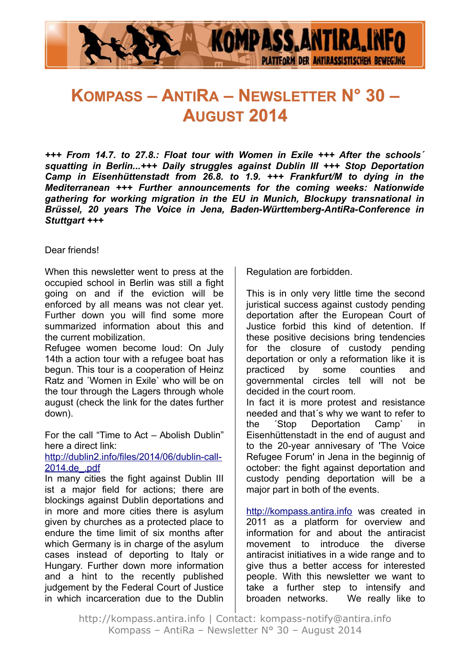

# **KOMPASS – ANTIRA – NEWSLETTER N° 30 – AUGUST 2014**

*+++ From 14.7. to 27.8.: Float tour with Women in Exile +++ After the schools´ squatting in Berlin...+++ Daily struggles against Dublin III +++ Stop Deportation Camp in Eisenhüttenstadt from 26.8. to 1.9. +++ Frankfurt/M to dying in the Mediterranean +++ Further announcements for the coming weeks: Nationwide gathering for working migration in the EU in Munich, Blockupy transnational in Brüssel, 20 years The Voice in Jena, Baden-Württemberg-AntiRa-Conference in Stuttgart +++*

#### Dear friends!

When this newsletter went to press at the occupied school in Berlin was still a fight going on and if the eviction will be enforced by all means was not clear yet. Further down you will find some more summarized information about this and the current mobilization.

Refugee women become loud: On July 14th a action tour with a refugee boat has begun. This tour is a cooperation of Heinz Ratz and ´Women in Exile` who will be on the tour through the Lagers through whole august (check the link for the dates further down).

For the call "Time to Act – Abolish Dublin" here a direct link:

#### [http://dublin2.info/files/2014/06/dublin-call-](http://dublin2.info/files/2014/06/dublin-call-2014.de_.pdf)[2014.de\\_.pdf](http://dublin2.info/files/2014/06/dublin-call-2014.de_.pdf)

In many cities the fight against Dublin III ist a major field for actions; there are blockings against Dublin deportations and in more and more cities there is asylum given by churches as a protected place to endure the time limit of six months after which Germany is in charge of the asylum cases instead of deporting to Italy or Hungary. Further down more information and a hint to the recently published judgement by the Federal Court of Justice in which incarceration due to the Dublin

Regulation are forbidden.

This is in only very little time the second juristical success against custody pending deportation after the European Court of Justice forbid this kind of detention. If these positive decisions bring tendencies for the closure of custody pending deportation or only a reformation like it is practiced by some counties and governmental circles tell will not be decided in the court room.

In fact it is more protest and resistance needed and that´s why we want to refer to the ´Stop Deportation Camp` in Eisenhüttenstadt in the end of august and to the 20-year annivesary of 'The Voice Refugee Forum' in Jena in the beginnig of october: the fight against deportation and custody pending deportation will be a major part in both of the events.

[http://kompass.antira.info](http://kompass.antira.info/) was created in 2011 as a platform for overview and information for and about the antiracist movement to introduce the diverse antiracist initiatives in a wide range and to give thus a better access for interested people. With this newsletter we want to take a further step to intensify and broaden networks. We really like to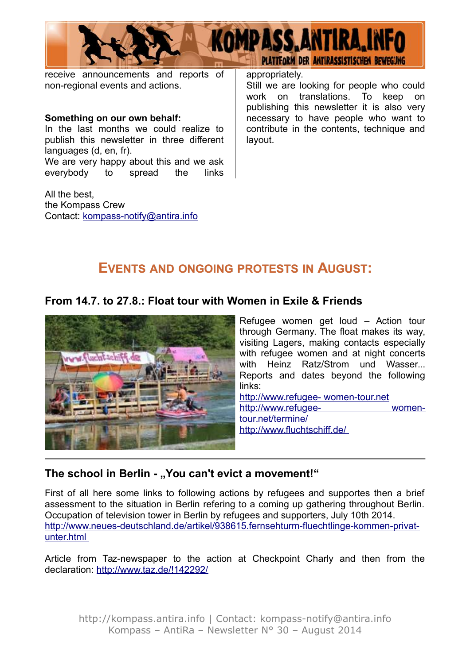

receive announcements and reports of non-regional events and actions.

#### **Something on our own behalf:**

In the last months we could realize to publish this newsletter in three different languages (d, en, fr). We are very happy about this and we ask

everybody to spread the links

All the best, the Kompass Crew Contact: [kompass-notify@antira.inf](mailto:kompass-notify@antira.info)o appropriately.

Still we are looking for people who could work on translations. To keep on publishing this newsletter it is also very necessary to have people who want to contribute in the contents, technique and layout.

## **EVENTS AND ONGOING PROTESTS IN AUGUST:**

#### **From 14.7. to 27.8.: Float tour with Women in Exile & Friends**



Refugee women get loud – Action tour through Germany. The float makes its way, visiting Lagers, making contacts especially with refugee women and at night concerts with Heinz Ratz/Strom und Wasser... Reports and dates beyond the following links: http://www.refugee- women-tour.net

http://www.refugee- womentour.net/termine/ <http://www.fluchtschiff.de/>

#### The school in Berlin - "You can't evict a movement!"

First of all here some links to following actions by refugees and supportes then a brief assessment to the situation in Berlin refering to a coming up gathering throughout Berlin. Occupation of television tower in Berlin by refugees and supporters, July 10th 2014. [http://www.neues-deutschland.de/artikel/938615.fernsehturm-fluechtlinge-kommen-privat](http://www.neues-deutschland.de/artikel/938615.fernsehturm-fluechtlinge-kommen-privat-)unter.html

Article from Taz-newspaper to the action at Checkpoint Charly and then from the declaration:<http://www.taz.de/!142292/>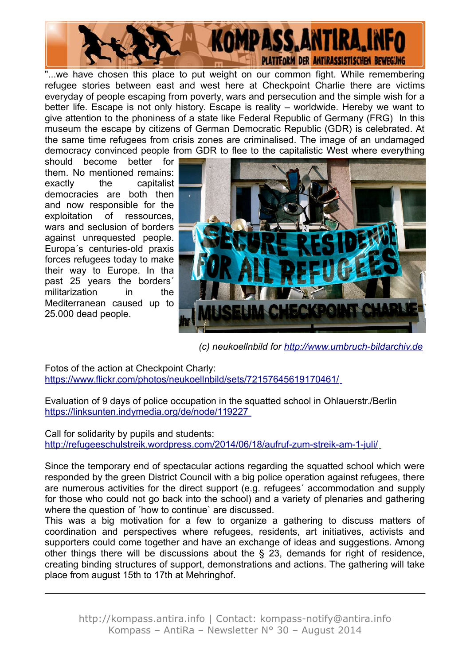

"...we have chosen this place to put weight on our common fight. While remembering refugee stories between east and west here at Checkpoint Charlie there are victims everyday of people escaping from poverty, wars and persecution and the simple wish for a better life. Escape is not only history. Escape is reality – worldwide. Hereby we want to give attention to the phoniness of a state like Federal Republic of Germany (FRG) In this museum the escape by citizens of German Democratic Republic (GDR) is celebrated. At the same time refugees from crisis zones are criminalised. The image of an undamaged democracy convinced people from GDR to flee to the capitalistic West where everything

should become better for them. No mentioned remains: exactly the capitalist democracies are both then and now responsible for the exploitation of ressources, wars and seclusion of borders against unrequested people. Europa´s centuries-old praxis forces refugees today to make their way to Europe. In tha past 25 years the borders´ militarization in the Mediterranean caused up to 25.000 dead people.



*(c) neukoellnbild for [http://www.umbruch-bildarchiv.de](http://www.umbruch-bildarchiv.de/)*

Fotos of the action at Checkpoint Charly: <https://www.flickr.com/photos/neukoellnbild/sets/72157645619170461/>

Evaluation of 9 days of police occupation in the squatted school in Ohlauerstr./Berlin <https://linksunten.indymedia.org/de/node/119227>

Call for solidarity by pupils and students: <http://refugeeschulstreik.wordpress.com/2014/06/18/aufruf-zum-streik-am-1-juli/>

Since the temporary end of spectacular actions regarding the squatted school which were responded by the green District Council with a big police operation against refugees, there are numerous activities for the direct support (e.g. refugees´ accommodation and supply for those who could not go back into the school) and a variety of plenaries and gathering where the question of ´how to continue` are discussed.

This was a big motivation for a few to organize a gathering to discuss matters of coordination and perspectives where refugees, residents, art initiatives, activists and supporters could come together and have an exchange of ideas and suggestions. Among other things there will be discussions about the § 23, demands for right of residence, creating binding structures of support, demonstrations and actions. The gathering will take place from august 15th to 17th at Mehringhof.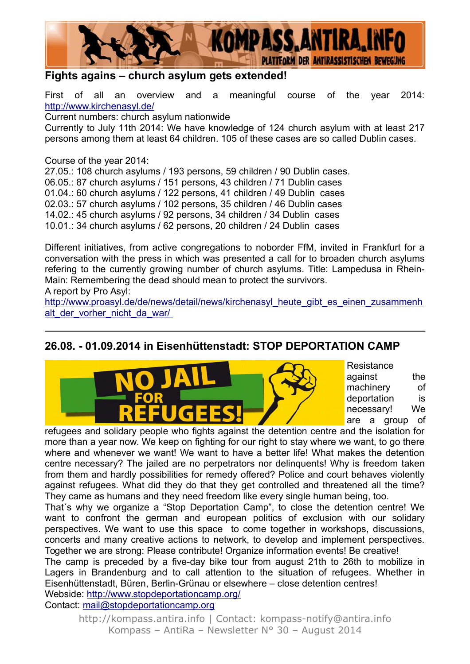

### **Fights agains – church asylum gets extended!**

First of all an overview and a meaningful course of the year 2014: <http://www.kirchenasyl.de/>

Current numbers: church asylum nationwide

Currently to July 11th 2014: We have knowledge of 124 church asylum with at least 217 persons among them at least 64 children. 105 of these cases are so called Dublin cases.

Course of the year 2014:

27.05.: 108 church asylums / 193 persons, 59 children / 90 Dublin cases. 06.05.: 87 church asylums / 151 persons, 43 children / 71 Dublin cases 01.04.: 60 church asylums / 122 persons, 41 children / 49 Dublin cases 02.03.: 57 church asylums / 102 persons, 35 children / 46 Dublin cases 14.02.: 45 church asylums / 92 persons, 34 children / 34 Dublin cases 10.01.: 34 church asylums / 62 persons, 20 children / 24 Dublin cases

Different initiatives, from active congregations to noborder FfM, invited in Frankfurt for a conversation with the press in which was presented a call for to broaden church asylums refering to the currently growing number of church asylums. Title: Lampedusa in Rhein-Main: Remembering the dead should mean to protect the survivors.

A report by Pro Asyl:

[http://www.proasyl.de/de/news/detail/news/kirchenasyl\\_heute\\_gibt\\_es\\_einen\\_zusammenh](http://www.proasyl.de/de/news/detail/news/kirchenasyl_heute_gibt_es_einen_zusammenh) alt der vorher nicht da war/

### **26.08. - 01.09.2014 in Eisenhüttenstadt: STOP DEPORTATION CAMP**



**Resistance** against the machinery of deportation is necessary! We are a group of

refugees and solidary people who fights against the detention centre and the isolation for more than a year now. We keep on fighting for our right to stay where we want, to go there where and whenever we want! We want to have a better life! What makes the detention centre necessary? The jailed are no perpetrators nor delinquents! Why is freedom taken from them and hardly possibilities for remedy offered? Police and court behaves violently against refugees. What did they do that they get controlled and threatened all the time? They came as humans and they need freedom like every single human being, too.

That´s why we organize a "Stop Deportation Camp", to close the detention centre! We want to confront the german and european politics of exclusion with our solidary perspectives. We want to use this space to come together in workshops, discussions, concerts and many creative actions to network, to develop and implement perspectives. Together we are strong: Please contribute! Organize information events! Be creative!

The camp is preceded by a five-day bike tour from august 21th to 26th to mobilize in Lagers in Brandenburg and to call attention to the situation of refugees. Whether in Eisenhüttenstadt, Büren, Berlin-Grünau or elsewhere – close detention centres! Webside:<http://www.stopdeportationcamp.org/>

Contact: [mail@stopdeportationcamp.org](mailto:mail@stopdeportationcamp.org)

http://kompass.antira.info | Contact: kompass-notify@antira.info Kompass – AntiRa – Newsletter N° 30 – August 2014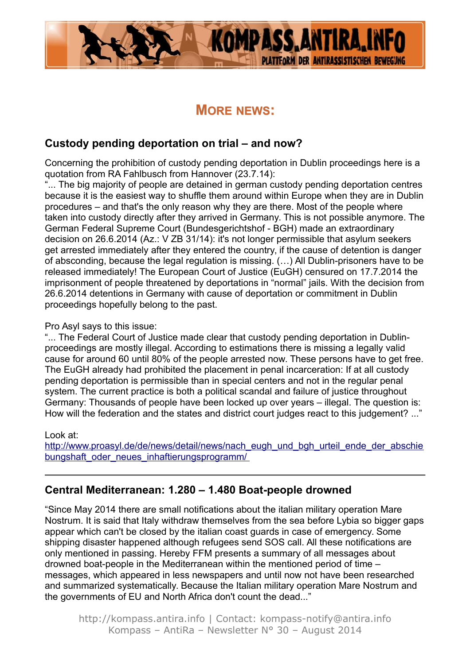

# **MORE NEWS:**

### **Custody pending deportation on trial – and now?**

Concerning the prohibition of custody pending deportation in Dublin proceedings here is a quotation from RA Fahlbusch from Hannover (23.7.14):

... The big majority of people are detained in german custody pending deportation centres because it is the easiest way to shuffle them around within Europe when they are in Dublin procedures – and that's the only reason why they are there. Most of the people where taken into custody directly after they arrived in Germany. This is not possible anymore. The German Federal Supreme Court (Bundesgerichtshof - BGH) made an extraordinary decision on 26.6.2014 (Az.: V ZB 31/14): it's not longer permissible that asylum seekers get arrested immediately after they entered the country, if the cause of detention is danger of absconding, because the legal regulation is missing. (…) All Dublin-prisoners have to be released immediately! The European Court of Justice (EuGH) censured on 17.7.2014 the imprisonment of people threatened by deportations in "normal" jails. With the decision from 26.6.2014 detentions in Germany with cause of deportation or commitment in Dublin proceedings hopefully belong to the past.

#### Pro Asyl says to this issue:

"... The Federal Court of Justice made clear that custody pending deportation in Dublinproceedings are mostly illegal. According to estimations there is missing a legally valid cause for around 60 until 80% of the people arrested now. These persons have to get free. The EuGH already had prohibited the placement in penal incarceration: If at all custody pending deportation is permissible than in special centers and not in the regular penal system. The current practice is both a political scandal and failure of justice throughout Germany: Thousands of people have been locked up over years – illegal. The question is: How will the federation and the states and district court judges react to this judgement? ..."

#### Look at:

http://www.proasyl.de/de/news/detail/news/nach\_eugh\_und\_bgh\_urteil\_ende\_der\_abschie bungshaft\_oder\_neues\_inhaftierungsprogramm/

### **Central Mediterranean: 1.280 – 1.480 Boat-people drowned**

"Since May 2014 there are small notifications about the italian military operation Mare Nostrum. It is said that Italy withdraw themselves from the sea before Lybia so bigger gaps appear which can't be closed by the italian coast guards in case of emergency. Some shipping disaster happened although refugees send SOS call. All these notifications are only mentioned in passing. Hereby FFM presents a summary of all messages about drowned boat-people in the Mediterranean within the mentioned period of time – messages, which appeared in less newspapers and until now not have been researched and summarized systematically. Because the Italian military operation Mare Nostrum and the governments of EU and North Africa don't count the dead..."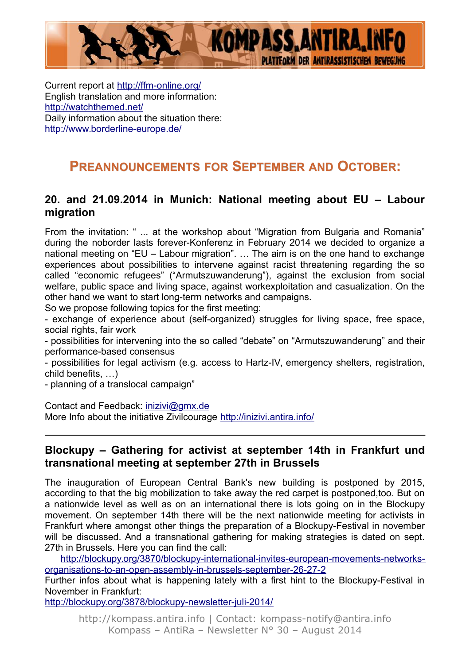

Current report at<http://ffm-online.org/> English translation and more information: <http://watchthemed.net/> Daily information about the situation there: <http://www.borderline-europe.de/>

# **PREANNOUNCEMENTS FOR SEPTEMBER AND OCTOBER:**

#### **20. and 21.09.2014 in Munich: National meeting about EU – Labour migration**

From the invitation: " ... at the workshop about "Migration from Bulgaria and Romania" during the noborder lasts forever-Konferenz in February 2014 we decided to organize a national meeting on "EU – Labour migration". … The aim is on the one hand to exchange experiences about possibilities to intervene against racist threatening regarding the so called "economic refugees" ("Armutszuwanderung"), against the exclusion from social welfare, public space and living space, against workexploitation and casualization. On the other hand we want to start long-term networks and campaigns.

So we propose following topics for the first meeting:

- exchange of experience about (self-organized) struggles for living space, free space, social rights, fair work

- possibilities for intervening into the so called "debate" on "Armutszuwanderung" and their performance-based consensus

- possibilities for legal activism (e.g. access to Hartz-IV, emergency shelters, registration, child benefits, …)

- planning of a translocal campaign"

Contact and Feedback: [inizivi@gmx.de](mailto:inizivi@gmx.de) More Info about the initiative Zivilcourage<http://inizivi.antira.info/>

#### **Blockupy – Gathering for activist at september 14th in Frankfurt und transnational meeting at september 27th in Brussels**

The inauguration of European Central Bank's new building is postponed by 2015, according to that the big mobilization to take away the red carpet is postponed,too. But on a nationwide level as well as on an international there is lots going on in the Blockupy movement. On september 14th there will be the next nationwide meeting for activists in Frankfurt where amongst other things the preparation of a Blockupy-Festival in november will be discussed. And a transnational gathering for making strategies is dated on sept. 27th in Brussels. Here you can find the call:

[http://blockupy.org/3870/blockupy-international-invites-european-movements-networks](http://blockupy.org/3870/blockupy-international-invites-european-movements-networks-organisations-to-an-open-assembly-in-brussels-september-26-27-2)[organisations-to-an-open-assembly-in-brussels-september-26-27-2](http://blockupy.org/3870/blockupy-international-invites-european-movements-networks-organisations-to-an-open-assembly-in-brussels-september-26-27-2)

Further infos about what is happening lately with a first hint to the Blockupy-Festival in November in Frankfurt:

<http://blockupy.org/3878/blockupy-newsletter-juli-2014/>